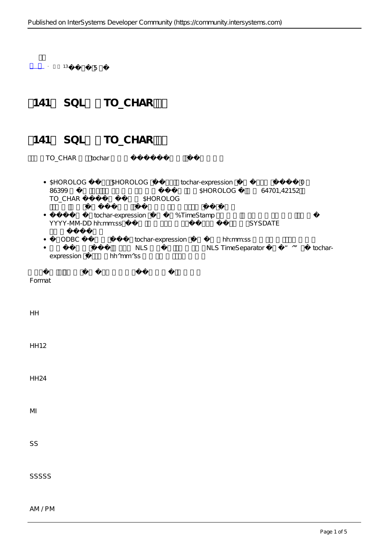$\frac{1}{2}$  · 13 5 141 SQL TO\_CHAR

## 141 SQL TO CHAR

TO\_CHAR tochar

- \$HOROLOG \$HOROLOG tochar-expression 0  $$HOROLOG$   $$HOROLOG$   $$HOROLOG$   $$HOROLOG$   $$HOROLOG$   $64701,42152$ TO\_CHAR \$HOROLOG
- tochar-expression %TimeStamp YYYY-MM-DD hh:mm:ss。时间戳的日期部分被忽略,时间部分被转换。例如,SYSDATE
- ODBC tochar-expression hh:mm:ss NLS TimeSeparator  $NLS$  TimeSeparator  $NLS$ expression hh^mm^ss

Format

| $\mathsf{HH}% _{0}$                                                        |  |  |  |
|----------------------------------------------------------------------------|--|--|--|
| HH12                                                                       |  |  |  |
| HH24                                                                       |  |  |  |
| $\mathop{\textstyle\bigwedge}\nolimits\mathop{\textstyle\bigcup}\nolimits$ |  |  |  |
| SS                                                                         |  |  |  |
| SSSSS                                                                      |  |  |  |
| AM/PM                                                                      |  |  |  |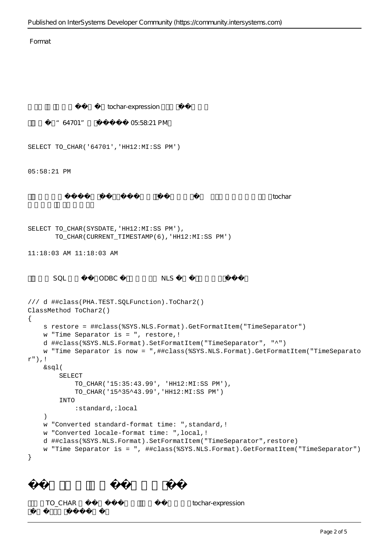## Format

```
tochar-expression
       以下示例导致"64701"被解释为时间值 05:58:21 PM:
SELECT TO CHAR('64701','HH12:MI:SS PM')
05:58:21 PM
\sim \sim tochara to the state \sim \sim \sim tochara to tochara to the state \simSELECT TO_CHAR(SYSDATE,'HH12:MI:SS PM'),
        TO_CHAR(CURRENT_TIMESTAMP(6),'HH12:MI:SS PM')
11:18:03 AM 11:18:03 AM
      SOL ODBC NLS
/// d ##class(PHA.TEST.SQLFunction).ToChar2()
ClassMethod ToChar2()
{
     s restore = ##class(%SYS.NLS.Format).GetFormatItem("TimeSeparator")
     w "Time Separator is = ", restore,!
     d ##class(%SYS.NLS.Format).SetFormatItem("TimeSeparator", "^")
     w "Time Separator is now = ",##class(%SYS.NLS.Format).GetFormatItem("TimeSeparato
r"),!
     &sql(
         SELECT 
             TO_CHAR('15:35:43.99', 'HH12:MI:SS PM'),
             TO_CHAR('15^35^43.99','HH12:MI:SS PM') 
         INTO 
             :standard,:local
     )
     w "Converted standard-format time: ",standard,!
     w "Converted locale-format time: ",local,!
     d ##class(%SYS.NLS.Format).SetFormatItem("TimeSeparator",restore)
     w "Time Separator is = ", ##class(%SYS.NLS.Format).GetFormatItem("TimeSeparator")
}
```
TO\_CHAR  $\qquad$  tochar-expression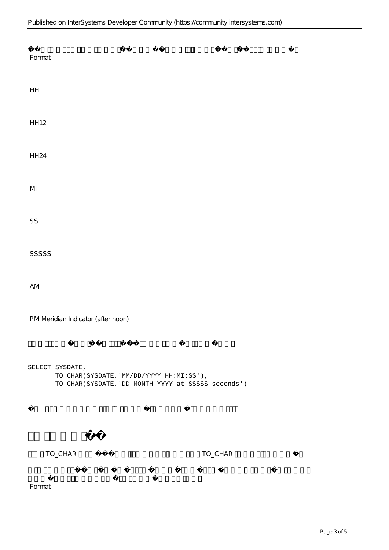| $\mathsf{H}\,\mathsf{H}$                                                                                          |
|-------------------------------------------------------------------------------------------------------------------|
|                                                                                                                   |
| <b>HH12</b>                                                                                                       |
| <b>HH24</b>                                                                                                       |
| $\mathop{\textstyle\bigwedge}\nolimits\mathop{\textstyle\bigwedge}\nolimits\mathop{\textstyle\bigwedge}\nolimits$ |
| $SS$                                                                                                              |
| SSSSS                                                                                                             |
| $\mathsf{A}\,\mathsf{M}$                                                                                          |
| PM Meridian Indicator (after noon)                                                                                |
| SELECT SYSDATE,<br>TO_CHAR(SYSDATE, 'MM/DD/YYYY HH:MI:SS'),<br>TO_CHAR(SYSDATE, 'DD MONTH YYYY at SSSSS seconds') |

TO\_CHAR TO\_CHAR TO\_CHAR

Format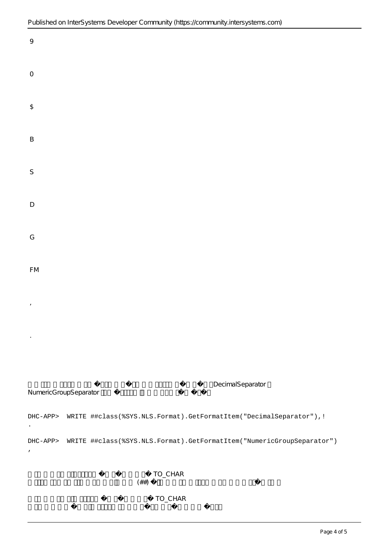| $\circ$                          |                                                                                |
|----------------------------------|--------------------------------------------------------------------------------|
| $\bigcirc$                       |                                                                                |
| $\updownarrow$                   |                                                                                |
| $\mathsf B$                      |                                                                                |
| $\mathsf{S}$                     |                                                                                |
| $\begin{array}{c} \n\end{array}$ |                                                                                |
| G                                |                                                                                |
| $\mathsf{F}\,\mathsf{M}$         |                                                                                |
| $\boldsymbol{r}$                 |                                                                                |
|                                  |                                                                                |
|                                  |                                                                                |
| NumericG roupSeparator           | DecimalSeparator                                                               |
| $\rm DHC\text{-}APP\text{-}$     | WRITE ##class(%SYS.NLS.Format).GetFormatItem("DecimalSeparator"), !            |
| $\pmb{I}$                        | DHC-APP> WRITE ##class(%SYS.NLS.Format).GetFormatItem("NumericGroupSeparator") |
|                                  | TO_CHAR<br>$(\#\#)$                                                            |
|                                  | TO_CHAR                                                                        |